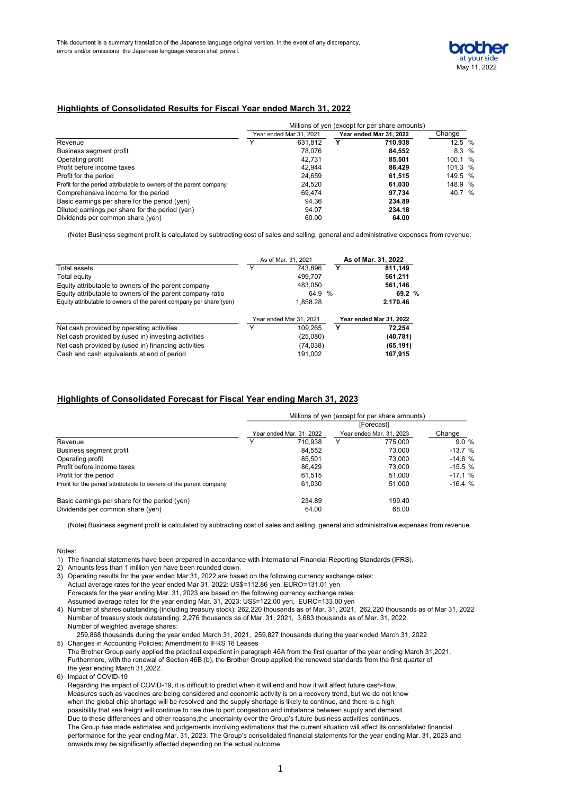

### Highlights of Consolidated Results for Fiscal Year ended March 31, 2022

|                                                                    | Millions of yen (except for per share amounts)     |         |  |         |         |  |
|--------------------------------------------------------------------|----------------------------------------------------|---------|--|---------|---------|--|
|                                                                    | Year ended Mar 31, 2022<br>Year ended Mar 31, 2021 |         |  | Change  |         |  |
| Revenue                                                            |                                                    | 631.812 |  | 710.938 | 12.5 %  |  |
| Business segment profit                                            |                                                    | 78.076  |  | 84,552  | 8.3%    |  |
| Operating profit                                                   |                                                    | 42.731  |  | 85,501  | 100.1 % |  |
| Profit before income taxes                                         |                                                    | 42.944  |  | 86.429  | 101.3 % |  |
| Profit for the period                                              |                                                    | 24,659  |  | 61,515  | 149.5 % |  |
| Profit for the period attributable to owners of the parent company |                                                    | 24,520  |  | 61,030  | 148.9 % |  |
| Comprehensive income for the period                                |                                                    | 69.474  |  | 97.734  | 40.7 %  |  |
| Basic earnings per share for the period (yen)                      |                                                    | 94.36   |  | 234.89  |         |  |
| Diluted earnings per share for the period (yen)                    |                                                    | 94.07   |  | 234.18  |         |  |
| Dividends per common share (yen)                                   |                                                    | 60.00   |  | 64.00   |         |  |

(Note) Business segment profit is calculated by subtracting cost of sales and selling, general and administrative expenses from revenue.

|                                                                     | As of Mar. 31, 2021 |                         |  | As of Mar. 31, 2022     |  |  |
|---------------------------------------------------------------------|---------------------|-------------------------|--|-------------------------|--|--|
| Total assets                                                        | $\check{ }$         | 743.896                 |  | Υ<br>811.149            |  |  |
| Total equity                                                        |                     | 499.707                 |  | 561,211                 |  |  |
| Equity attributable to owners of the parent company                 |                     | 483,050                 |  | 561,146                 |  |  |
| Equity attributable to owners of the parent company ratio           |                     | 64.9 %                  |  | 69.2 %                  |  |  |
| Equity attributable to owners of the parent company per share (yen) |                     | 1.858.28                |  | 2.170.46                |  |  |
|                                                                     |                     | Year ended Mar 31, 2021 |  | Year ended Mar 31, 2022 |  |  |
| Net cash provided by operating activities                           |                     | 109.265                 |  | Y<br>72.254             |  |  |
| Net cash provided by (used in) investing activities                 |                     | (25,080)                |  | (40, 781)               |  |  |
| Net cash provided by (used in) financing activities                 |                     | (74, 038)               |  | (65, 191)               |  |  |
| Cash and cash equivalents at end of period                          |                     | 191.002                 |  | 167,915                 |  |  |

#### Highlights of Consolidated Forecast for Fiscal Year ending March 31, 2023

|                                                                    | Millions of yen (except for per share amounts)<br>[Forecast] |                          |   |                          |          |  |  |
|--------------------------------------------------------------------|--------------------------------------------------------------|--------------------------|---|--------------------------|----------|--|--|
|                                                                    |                                                              | Year ended Mar, 31, 2022 |   | Year ended Mar. 31, 2023 | Change   |  |  |
| Revenue                                                            |                                                              | 710.938                  | Y | 775.000                  | 9.0%     |  |  |
| Business segment profit                                            |                                                              | 84.552                   |   | 73.000                   | $-13.7%$ |  |  |
| Operating profit                                                   |                                                              | 85.501                   |   | 73.000                   | $-14.6%$ |  |  |
| Profit before income taxes                                         |                                                              | 86.429                   |   | 73.000                   | $-15.5%$ |  |  |
| Profit for the period                                              |                                                              | 61.515                   |   | 51,000                   | $-17.1%$ |  |  |
| Profit for the period attributable to owners of the parent company |                                                              | 61,030                   |   | 51,000                   | $-16.4%$ |  |  |
| Basic earnings per share for the period (yen)                      |                                                              | 234.89                   |   | 199.40                   |          |  |  |
| Dividends per common share (yen)                                   |                                                              | 64.00                    |   | 68.00                    |          |  |  |

(Note) Business segment profit is calculated by subtracting cost of sales and selling, general and administrative expenses from revenue.

Notes:

- 1) The financial statements have been prepared in accordance with International Financial Reporting Standards (IFRS).
- 2) Amounts less than 1 million yen have been rounded down.
- 3) Operating results for the year ended Mar 31, 2022 are based on the following currency exchange rates: Actual average rates for the year ended Mar 31, 2022: US\$=112.86 yen, EURO=131.01 yen Forecasts for the year ending Mar. 31, 2023 are based on the following currency exchange rates: Assumed average rates for the year ending Mar. 31, 2023: US\$=122.00 yen, EURO=133.00 yen
- 4) Number of shares outstanding (including treasury stock): 262,220 thousands as of Mar. 31, 2021, 262,220 thousands as of Mar 31, 2022 Number of treasury stock outstanding: 2,276 thousands as of Mar. 31, 2021, 3,683 thousands as of Mar. 31, 2022 Number of weighted average shares:
- 259,868 thousands during the year ended March 31, 2021, 259,827 thousands during the year ended March 31, 2022 5) Changes in Accounting Policies: Amendment to IFRS 16 Leases
- The Brother Group early applied the practical expedient in paragraph 46A from the first quarter of the year ending March 31,2021. Furthermore, with the renewal of Section 46B (b), the Brother Group applied the renewed standards from the first quarter of the year ending March 31,2022.
- 6) Impact of COVID-19

Regarding the impact of COVID-19, it is difficult to predict when it will end and how it will affect future cash-flow. Measures such as vaccines are being considered and economic activity is on a recovery trend, but we do not know when the global chip shortage will be resolved and the supply shortage is likely to continue, and there is a high possibility that sea freight will continue to rise due to port congestion and imbalance between supply and demand. Due to these differences and other reasons,the uncertainty over the Group's future business activities continues. The Group has made estimates and judgements involving estimations that the current situation will affect its consolidated financial performance for the year ending Mar. 31, 2023. The Group's consolidated financial statements for the year ending Mar. 31, 2023 and onwards may be significantly affected depending on the actual outcome.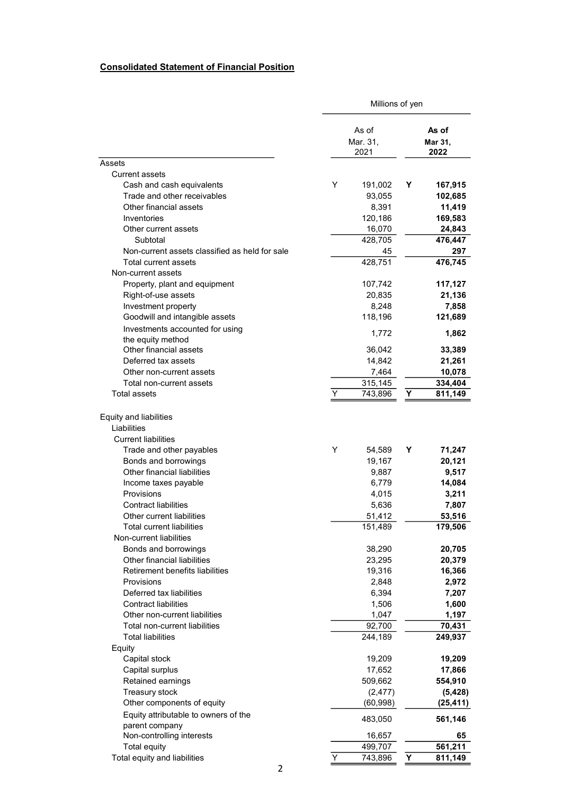## Consolidated Statement of Financial Position

|                                                                     |   | Millions of yen   |                  |           |  |
|---------------------------------------------------------------------|---|-------------------|------------------|-----------|--|
|                                                                     |   | As of<br>Mar. 31, | As of<br>Mar 31, |           |  |
|                                                                     |   | 2021              |                  | 2022      |  |
| Assets                                                              |   |                   |                  |           |  |
| <b>Current assets</b>                                               |   |                   |                  |           |  |
| Cash and cash equivalents                                           | Y | 191,002           | Υ                | 167,915   |  |
| Trade and other receivables                                         |   | 93,055            |                  | 102,685   |  |
| Other financial assets                                              |   | 8,391             |                  | 11,419    |  |
| Inventories                                                         |   | 120,186           |                  | 169,583   |  |
| Other current assets                                                |   | 16,070            |                  | 24,843    |  |
| Subtotal                                                            |   | 428,705           |                  | 476,447   |  |
| Non-current assets classified as held for sale                      |   | 45                |                  | 297       |  |
| Total current assets                                                |   | 428,751           |                  | 476,745   |  |
| Non-current assets                                                  |   |                   |                  |           |  |
| Property, plant and equipment                                       |   | 107,742           |                  | 117,127   |  |
| Right-of-use assets                                                 |   | 20,835            |                  | 21,136    |  |
| Investment property                                                 |   | 8,248             |                  | 7,858     |  |
| Goodwill and intangible assets                                      |   | 118,196           |                  | 121,689   |  |
| Investments accounted for using                                     |   |                   |                  |           |  |
| the equity method                                                   |   | 1,772             |                  | 1,862     |  |
| Other financial assets                                              |   | 36,042            |                  | 33,389    |  |
| Deferred tax assets                                                 |   | 14,842            |                  | 21,261    |  |
| Other non-current assets                                            |   | 7,464             |                  | 10,078    |  |
| Total non-current assets                                            |   | 315,145           |                  | 334,404   |  |
| Total assets                                                        | Y | 743,896           | Υ                | 811,149   |  |
| Equity and liabilities<br>Liabilities<br><b>Current liabilities</b> |   |                   |                  |           |  |
| Trade and other payables                                            | Y | 54,589            | Y                | 71,247    |  |
| Bonds and borrowings                                                |   | 19,167            |                  | 20,121    |  |
| Other financial liabilities                                         |   | 9,887             |                  | 9,517     |  |
| Income taxes payable                                                |   | 6,779             |                  | 14,084    |  |
| Provisions                                                          |   | 4,015             |                  | 3,211     |  |
| <b>Contract liabilities</b>                                         |   | 5,636             |                  | 7,807     |  |
| Other current liabilities                                           |   | 51,412            |                  | 53,516    |  |
| Total current liabilities                                           |   | 151,489           |                  | 179,506   |  |
| Non-current liabilities                                             |   |                   |                  |           |  |
| Bonds and borrowings                                                |   | 38,290            |                  | 20,705    |  |
| Other financial liabilities                                         |   | 23,295            |                  | 20,379    |  |
| Retirement benefits liabilities                                     |   | 19,316            |                  | 16,366    |  |
| <b>Provisions</b>                                                   |   | 2,848             |                  | 2,972     |  |
| Deferred tax liabilities                                            |   | 6,394             |                  | 7,207     |  |
| <b>Contract liabilities</b>                                         |   | 1,506             |                  | 1,600     |  |
| Other non-current liabilities                                       |   | 1,047             |                  | 1,197     |  |
| Total non-current liabilities                                       |   | 92,700            |                  | 70,431    |  |
| <b>Total liabilities</b>                                            |   | 244,189           |                  | 249,937   |  |
| Equity                                                              |   |                   |                  |           |  |
| Capital stock                                                       |   | 19,209            |                  | 19,209    |  |
| Capital surplus                                                     |   | 17,652            |                  | 17,866    |  |
| Retained earnings                                                   |   | 509,662           |                  | 554,910   |  |
| Treasury stock                                                      |   | (2, 477)          |                  | (5, 428)  |  |
| Other components of equity                                          |   | (60, 998)         |                  | (25, 411) |  |
| Equity attributable to owners of the                                |   |                   |                  |           |  |
| parent company                                                      |   | 483,050           |                  | 561,146   |  |
| Non-controlling interests                                           |   | 16,657            |                  | 65        |  |
| Total equity                                                        |   | 499,707           |                  | 561,211   |  |
| Total equity and liabilities                                        | Υ | 743,896           | Υ                | 811,149   |  |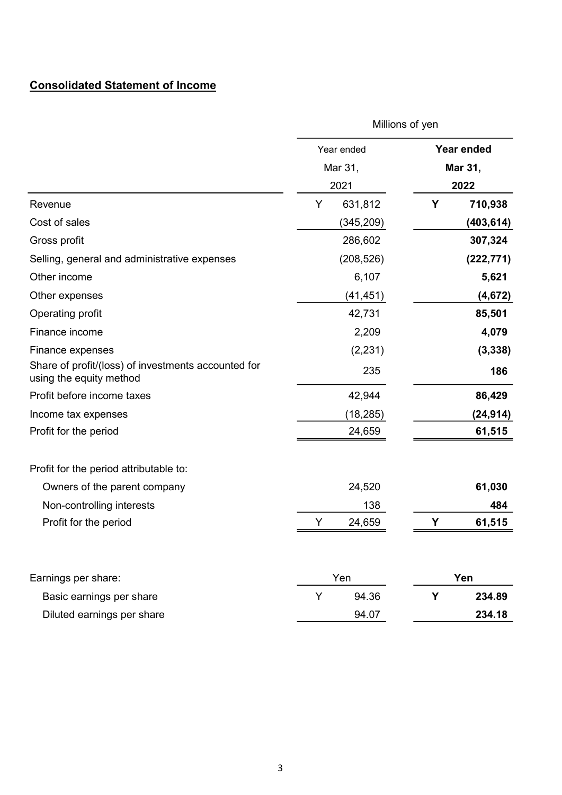# Consolidated Statement of Income

|                                                                                | Millions of yen |            |                   |            |  |
|--------------------------------------------------------------------------------|-----------------|------------|-------------------|------------|--|
|                                                                                |                 | Year ended | <b>Year ended</b> |            |  |
|                                                                                |                 | Mar 31,    | Mar 31,           |            |  |
|                                                                                | 2021            |            | 2022              |            |  |
| Revenue                                                                        | Y               | 631,812    | Υ                 | 710,938    |  |
| Cost of sales                                                                  |                 | (345, 209) |                   | (403, 614) |  |
| Gross profit                                                                   |                 | 286,602    |                   | 307,324    |  |
| Selling, general and administrative expenses                                   |                 | (208, 526) |                   | (222, 771) |  |
| Other income                                                                   |                 | 6,107      |                   | 5,621      |  |
| Other expenses                                                                 |                 | (41, 451)  |                   | (4, 672)   |  |
| Operating profit                                                               |                 | 42,731     |                   | 85,501     |  |
| Finance income                                                                 |                 | 2,209      |                   | 4,079      |  |
| Finance expenses                                                               |                 | (2, 231)   |                   | (3, 338)   |  |
| Share of profit/(loss) of investments accounted for<br>using the equity method |                 | 235        |                   | 186        |  |
| Profit before income taxes                                                     |                 | 42,944     |                   | 86,429     |  |
| Income tax expenses                                                            |                 | (18, 285)  |                   | (24, 914)  |  |
| Profit for the period                                                          |                 | 24,659     |                   | 61,515     |  |
| Profit for the period attributable to:                                         |                 |            |                   |            |  |
| Owners of the parent company                                                   |                 | 24,520     |                   | 61,030     |  |
| Non-controlling interests                                                      |                 | 138        |                   | 484        |  |
| Profit for the period                                                          | Υ               | 24,659     | Υ                 | 61,515     |  |
| Earnings per share:                                                            |                 | Yen        |                   | Yen        |  |
| Basic earnings per share                                                       | Y               | 94.36      | Y                 | 234.89     |  |
| Diluted earnings per share                                                     |                 | 94.07      |                   | 234.18     |  |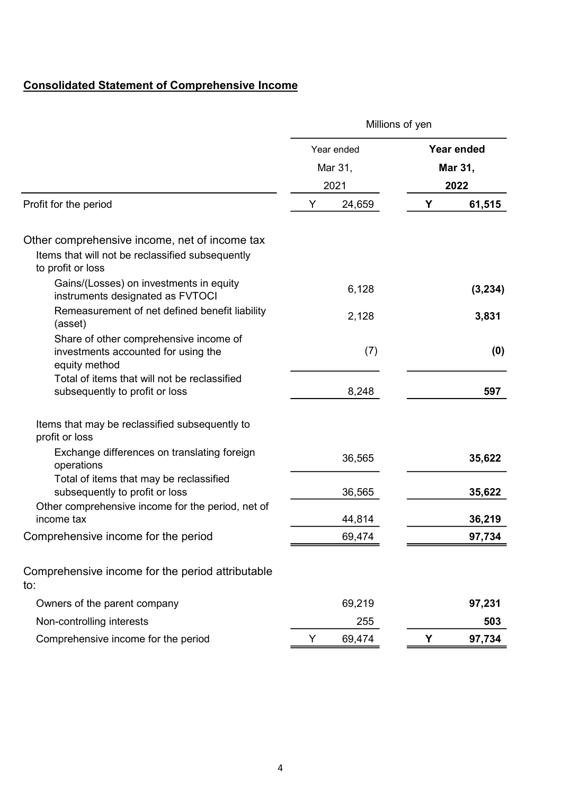# Consolidated Statement of Comprehensive Income

|                                                                                                                        | Millions of yen |            |            |          |
|------------------------------------------------------------------------------------------------------------------------|-----------------|------------|------------|----------|
|                                                                                                                        |                 | Year ended | Year ended |          |
|                                                                                                                        |                 | Mar 31,    |            | Mar 31,  |
|                                                                                                                        |                 | 2021       |            | 2022     |
| Profit for the period                                                                                                  | Υ               | 24,659     | Υ          | 61,515   |
| Other comprehensive income, net of income tax<br>Items that will not be reclassified subsequently<br>to profit or loss |                 |            |            |          |
| Gains/(Losses) on investments in equity<br>instruments designated as FVTOCI                                            |                 | 6,128      |            | (3, 234) |
| Remeasurement of net defined benefit liability<br>(asset)                                                              |                 | 2,128      |            | 3,831    |
| Share of other comprehensive income of<br>investments accounted for using the<br>equity method                         |                 | (7)        |            | (0)      |
| Total of items that will not be reclassified<br>subsequently to profit or loss                                         |                 | 8,248      |            | 597      |
| Items that may be reclassified subsequently to<br>profit or loss                                                       |                 |            |            |          |
| Exchange differences on translating foreign<br>operations                                                              |                 | 36,565     |            | 35,622   |
| Total of items that may be reclassified<br>subsequently to profit or loss                                              |                 | 36,565     |            | 35,622   |
| Other comprehensive income for the period, net of<br>income tax                                                        |                 | 44,814     |            | 36,219   |
| Comprehensive income for the period                                                                                    |                 | 69,474     |            | 97,734   |
| Comprehensive income for the period attributable<br>to:                                                                |                 |            |            |          |
| Owners of the parent company                                                                                           |                 | 69,219     |            | 97,231   |
| Non-controlling interests                                                                                              |                 | 255        |            | 503      |
| Comprehensive income for the period                                                                                    | Y               | 69,474     | Υ          | 97,734   |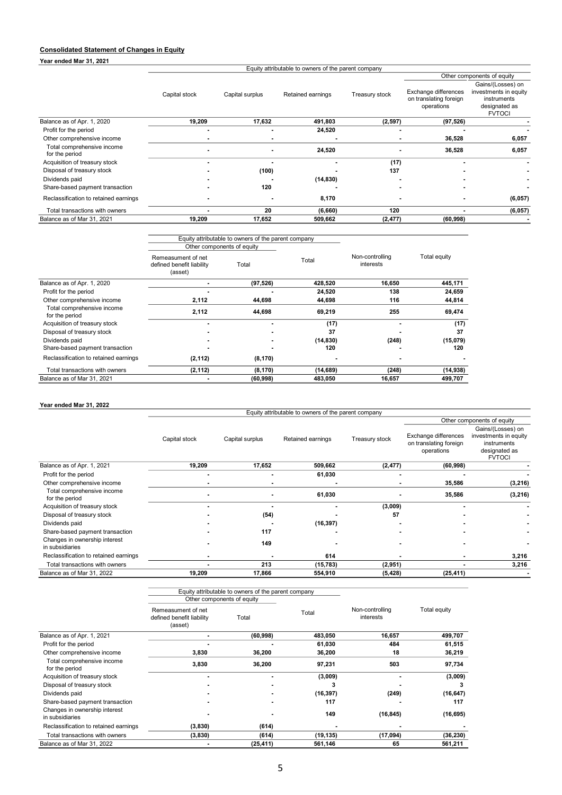### Consolidated Statement of Changes in Equity

Year ended Mar 31, 2021

|                            |               | Equity attributable to owners of the parent company |                   |                |                                                              |                                                                                             |  |  |
|----------------------------|---------------|-----------------------------------------------------|-------------------|----------------|--------------------------------------------------------------|---------------------------------------------------------------------------------------------|--|--|
|                            |               |                                                     |                   |                |                                                              | Other components of equity                                                                  |  |  |
|                            | Capital stock | Capital surplus                                     | Retained earnings | Treasury stock | Exchange differences<br>on translating foreign<br>operations | Gains/(Losses) on<br>investments in equity<br>instruments<br>designated as<br><b>FVTOCI</b> |  |  |
| Balance as of Apr. 1, 2020 | 19.209        | 17.632                                              | 491.803           | (2, 597)       | (97, 526)                                                    |                                                                                             |  |  |
| Profit for the period      |               | -                                                   | 24,520            |                |                                                              |                                                                                             |  |  |

| Other comprehensive income                   |        |        |           |          | 36.528    | 6,057   |
|----------------------------------------------|--------|--------|-----------|----------|-----------|---------|
| Total comprehensive income<br>for the period |        |        | 24.520    |          | 36.528    | 6,057   |
| Acquisition of treasury stock                |        |        |           | (17)     |           |         |
| Disposal of treasury stock                   |        | (100)  |           | 137      |           |         |
| Dividends paid                               |        |        | (14, 830) |          |           |         |
| Share-based payment transaction              |        | 120    |           |          |           |         |
| Reclassification to retained earnings        |        |        | 8.170     |          |           | (6,057) |
| Total transactions with owners               |        | 20     | (6,660)   | 120      |           | (6,057) |
| Balance as of Mar 31, 2021                   | 19.209 | 17.652 | 509,662   | (2, 477) | (60, 998) |         |

|                                              | Equity attributable to owners of the parent company<br>Other components of equity |           |           |                              |              |
|----------------------------------------------|-----------------------------------------------------------------------------------|-----------|-----------|------------------------------|--------------|
|                                              | Remeasument of net<br>defined benefit liability<br>(asset)                        | Total     | Total     | Non-controlling<br>interests | Total equity |
| Balance as of Apr. 1, 2020                   |                                                                                   | (97, 526) | 428,520   | 16,650                       | 445,171      |
| Profit for the period                        |                                                                                   |           | 24,520    | 138                          | 24,659       |
| Other comprehensive income                   | 2,112                                                                             | 44,698    | 44,698    | 116                          | 44,814       |
| Total comprehensive income<br>for the period | 2,112                                                                             | 44,698    | 69,219    | 255                          | 69,474       |
| Acquisition of treasury stock                |                                                                                   |           | (17)      |                              | (17)         |
| Disposal of treasury stock                   |                                                                                   |           | 37        |                              | 37           |
| Dividends paid                               |                                                                                   |           | (14, 830) | (248)                        | (15,079)     |
| Share-based payment transaction              |                                                                                   |           | 120       |                              | 120          |
| Reclassification to retained earnings        | (2, 112)                                                                          | (8, 170)  |           |                              |              |
| Total transactions with owners               | (2, 112)                                                                          | (8, 170)  | (14, 689) | (248)                        | (14, 938)    |
| Balance as of Mar 31, 2021                   |                                                                                   | (60, 998) | 483,050   | 16,657                       | 499,707      |

#### Year ended Mar 31, 2022

|                                                  | Equity attributable to owners of the parent company |                 |                   |                |                                                              |                                                                                             |  |  |
|--------------------------------------------------|-----------------------------------------------------|-----------------|-------------------|----------------|--------------------------------------------------------------|---------------------------------------------------------------------------------------------|--|--|
|                                                  |                                                     |                 |                   |                |                                                              | Other components of equity                                                                  |  |  |
|                                                  | Capital stock                                       | Capital surplus | Retained earnings | Treasury stock | Exchange differences<br>on translating foreign<br>operations | Gains/(Losses) on<br>investments in equity<br>instruments<br>designated as<br><b>FVTOCI</b> |  |  |
| Balance as of Apr. 1, 2021                       | 19,209                                              | 17,652          | 509,662           | (2, 477)       | (60, 998)                                                    |                                                                                             |  |  |
| Profit for the period                            |                                                     |                 | 61,030            |                |                                                              |                                                                                             |  |  |
| Other comprehensive income                       |                                                     |                 |                   |                | 35,586                                                       | (3,216)                                                                                     |  |  |
| Total comprehensive income<br>for the period     |                                                     |                 | 61,030            |                | 35,586                                                       | (3,216)                                                                                     |  |  |
| Acquisition of treasury stock                    |                                                     |                 |                   | (3,009)        |                                                              |                                                                                             |  |  |
| Disposal of treasury stock                       |                                                     | (54)            |                   | 57             |                                                              |                                                                                             |  |  |
| Dividends paid                                   |                                                     |                 | (16, 397)         |                |                                                              |                                                                                             |  |  |
| Share-based payment transaction                  |                                                     | 117             |                   |                |                                                              |                                                                                             |  |  |
| Changes in ownership interest<br>in subsidiaries |                                                     | 149             |                   |                |                                                              |                                                                                             |  |  |
| Reclassification to retained earnings            |                                                     |                 | 614               |                |                                                              | 3,216                                                                                       |  |  |
| Total transactions with owners                   |                                                     | 213             | (15, 783)         | (2,951)        |                                                              | 3,216                                                                                       |  |  |
| Balance as of Mar 31, 2022                       | 19,209                                              | 17,866          | 554,910           | (5, 428)       | (25, 411)                                                    |                                                                                             |  |  |

|                                                  |                                                            | Equity attributable to owners of the parent company |           |                              |              |
|--------------------------------------------------|------------------------------------------------------------|-----------------------------------------------------|-----------|------------------------------|--------------|
|                                                  | Other components of equity                                 |                                                     |           |                              |              |
|                                                  | Remeasument of net<br>defined benefit liability<br>(asset) | Total                                               | Total     | Non-controlling<br>interests | Total equity |
| Balance as of Apr. 1, 2021                       |                                                            | (60, 998)                                           | 483,050   | 16,657                       | 499,707      |
| Profit for the period                            |                                                            |                                                     | 61,030    | 484                          | 61,515       |
| Other comprehensive income                       | 3,830                                                      | 36,200                                              | 36,200    | 18                           | 36,219       |
| Total comprehensive income<br>for the period     | 3,830                                                      | 36,200                                              | 97,231    | 503                          | 97,734       |
| Acquisition of treasury stock                    |                                                            |                                                     | (3,009)   |                              | (3,009)      |
| Disposal of treasury stock                       |                                                            |                                                     | 3         |                              |              |
| Dividends paid                                   |                                                            |                                                     | (16, 397) | (249)                        | (16, 647)    |
| Share-based payment transaction                  |                                                            |                                                     | 117       |                              | 117          |
| Changes in ownership interest<br>in subsidiaries |                                                            |                                                     | 149       | (16, 845)                    | (16, 695)    |
| Reclassification to retained earnings            | (3,830)                                                    | (614)                                               |           |                              |              |
| Total transactions with owners                   | (3,830)                                                    | (614)                                               | (19, 135) | (17,094)                     | (36, 230)    |
| Balance as of Mar 31, 2022                       |                                                            | (25, 411)                                           | 561,146   | 65                           | 561,211      |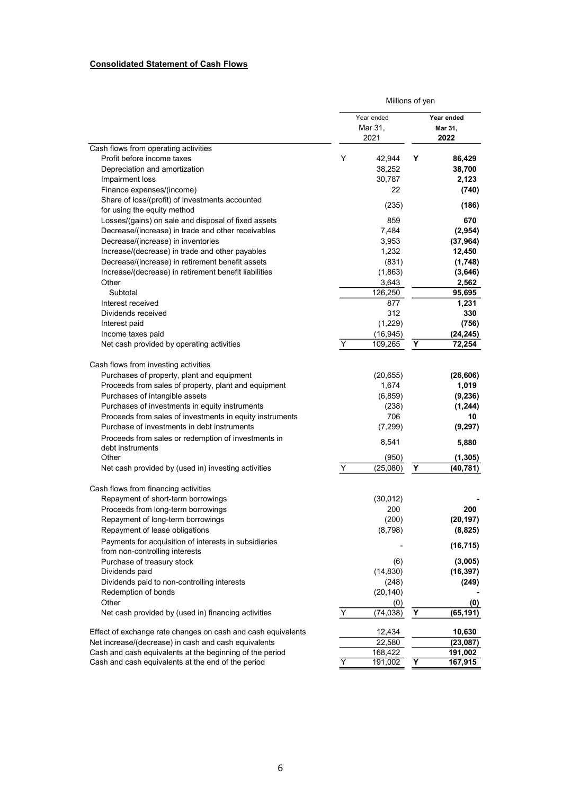# Consolidated Statement of Cash Flows

|                                                                                                             | Millions of yen |                                  |   |                                    |
|-------------------------------------------------------------------------------------------------------------|-----------------|----------------------------------|---|------------------------------------|
|                                                                                                             |                 | Year ended<br>Mar 31,<br>2021    |   | Year ended<br>Mar 31,<br>2022      |
| Cash flows from operating activities                                                                        |                 |                                  |   |                                    |
| Profit before income taxes<br>Depreciation and amortization<br>Impairment loss<br>Finance expenses/(income) | Y               | 42,944<br>38,252<br>30,787<br>22 | Y | 86,429<br>38,700<br>2,123<br>(740) |
| Share of loss/(profit) of investments accounted<br>for using the equity method                              |                 | (235)                            |   | (186)                              |
| Losses/(gains) on sale and disposal of fixed assets                                                         |                 | 859                              |   | 670                                |
| Decrease/(increase) in trade and other receivables                                                          |                 | 7,484                            |   | (2,954)                            |
| Decrease/(increase) in inventories                                                                          |                 | 3,953                            |   | (37, 964)                          |
| Increase/(decrease) in trade and other payables                                                             |                 | 1,232                            |   | 12,450                             |
| Decrease/(increase) in retirement benefit assets                                                            |                 | (831)                            |   | (1,748)                            |
| Increase/(decrease) in retirement benefit liabilities                                                       |                 | (1,863)                          |   | (3,646)                            |
| Other                                                                                                       |                 | 3,643                            |   | 2,562                              |
| Subtotal                                                                                                    |                 | 126,250                          |   | 95,695                             |
| Interest received                                                                                           |                 | 877                              |   | 1,231                              |
| Dividends received                                                                                          |                 | 312                              |   | 330                                |
| Interest paid                                                                                               |                 | (1,229)                          |   | (756)                              |
| Income taxes paid                                                                                           |                 | (16, 945)                        |   | (24, 245)                          |
| Net cash provided by operating activities                                                                   | Y               | 109,265                          | Υ | 72,254                             |
| Cash flows from investing activities                                                                        |                 |                                  |   |                                    |
| Purchases of property, plant and equipment                                                                  |                 | (20, 655)                        |   | (26, 606)                          |
| Proceeds from sales of property, plant and equipment                                                        |                 | 1,674                            |   | 1,019                              |
| Purchases of intangible assets                                                                              |                 | (6, 859)                         |   | (9,236)                            |
| Purchases of investments in equity instruments                                                              |                 | (238)                            |   | (1, 244)                           |
| Proceeds from sales of investments in equity instruments                                                    |                 | 706                              |   | 10                                 |
| Purchase of investments in debt instruments                                                                 |                 | (7, 299)                         |   | (9, 297)                           |
| Proceeds from sales or redemption of investments in<br>debt instruments                                     |                 | 8,541                            |   | 5,880                              |
| Other                                                                                                       |                 | (950)                            |   | (1, 305)                           |
| Net cash provided by (used in) investing activities                                                         | Y               | (25,080)                         | Υ | (40, 781)                          |
| Cash flows from financing activities                                                                        |                 |                                  |   |                                    |
| Repayment of short-term borrowings                                                                          |                 | (30, 012)                        |   |                                    |
| Proceeds from long-term borrowings                                                                          |                 | 200                              |   | 200                                |
| Repayment of long-term borrowings                                                                           |                 | (200)                            |   | (20, 197)                          |
| Repayment of lease obligations                                                                              |                 | (8,798)                          |   | (8,825)                            |
| Payments for acquisition of interests in subsidiaries<br>from non-controlling interests                     |                 |                                  |   | (16, 715)                          |
| Purchase of treasury stock                                                                                  |                 | (6)                              |   | (3,005)                            |
| Dividends paid                                                                                              |                 | (14, 830)                        |   | (16, 397)                          |
| Dividends paid to non-controlling interests                                                                 |                 | (248)                            |   | (249)                              |
| Redemption of bonds                                                                                         |                 | (20, 140)                        |   |                                    |
| Other                                                                                                       |                 | (0)                              |   | (0)                                |
| Net cash provided by (used in) financing activities                                                         | Υ               | (74, 038)                        | Υ | (65, 191)                          |
| Effect of exchange rate changes on cash and cash equivalents                                                |                 | 12,434                           |   | 10,630                             |
| Net increase/(decrease) in cash and cash equivalents                                                        |                 | 22,580                           |   | (23,087)                           |
| Cash and cash equivalents at the beginning of the period                                                    |                 | 168,422                          |   | 191,002                            |
| Cash and cash equivalents at the end of the period                                                          | Y               | 191,002                          | Y | 167,915                            |